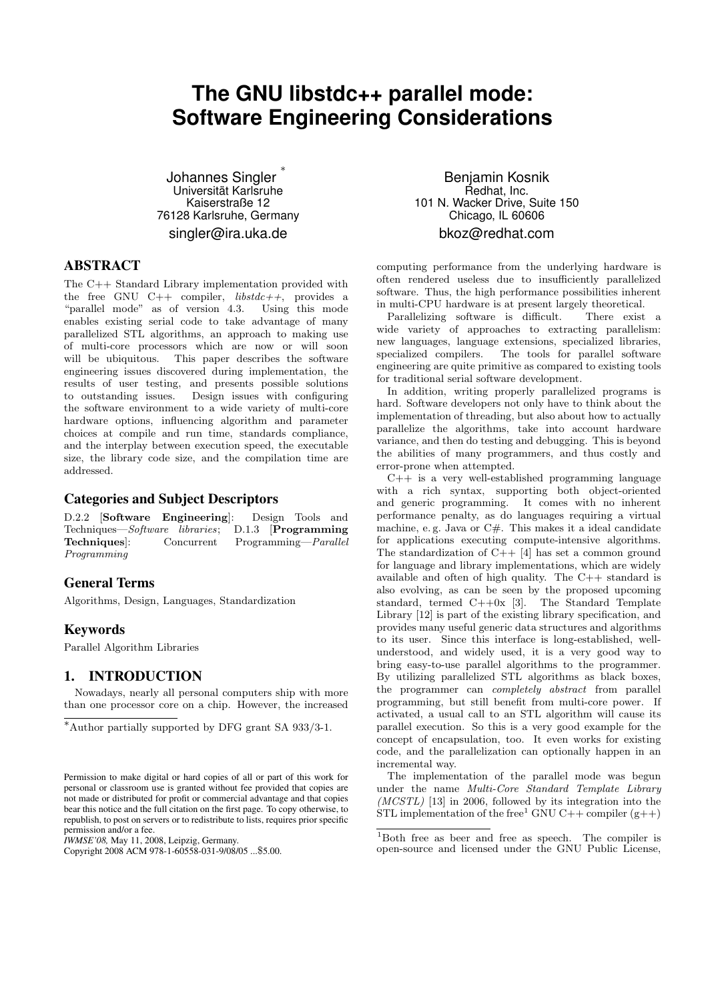# **The GNU libstdc++ parallel mode: Software Engineering Considerations**

Johannes Singler ∗ Universität Karlsruhe Kaiserstraße 12 76128 Karlsruhe, Germany singler@ira.uka.de

# ABSTRACT

The C++ Standard Library implementation provided with the free GNU C++ compiler,  $libstdc++$ , provides a "parallel mode" as of version 4.3. Using this mode enables existing serial code to take advantage of many parallelized STL algorithms, an approach to making use of multi-core processors which are now or will soon will be ubiquitous. This paper describes the software engineering issues discovered during implementation, the results of user testing, and presents possible solutions to outstanding issues. Design issues with configuring the software environment to a wide variety of multi-core hardware options, influencing algorithm and parameter choices at compile and run time, standards compliance, and the interplay between execution speed, the executable size, the library code size, and the compilation time are addressed.

## Categories and Subject Descriptors

D.2.2 [Software Engineering]: Design Tools and Techniques—Software libraries; D.1.3 [Programming Techniques]: Concurrent Programming—Parallel Programming

## General Terms

Algorithms, Design, Languages, Standardization

#### Keywords

Parallel Algorithm Libraries

## 1. INTRODUCTION

Nowadays, nearly all personal computers ship with more than one processor core on a chip. However, the increased

<sup>∗</sup>Author partially supported by DFG grant SA 933/3-1.

*IWMSE'08,* May 11, 2008, Leipzig, Germany.

Benjamin Kosnik Redhat, Inc. 101 N. Wacker Drive, Suite 150 Chicago, IL 60606 bkoz@redhat.com

computing performance from the underlying hardware is often rendered useless due to insufficiently parallelized software. Thus, the high performance possibilities inherent in multi-CPU hardware is at present largely theoretical.

Parallelizing software is difficult. There exist a wide variety of approaches to extracting parallelism: new languages, language extensions, specialized libraries, specialized compilers. The tools for parallel software engineering are quite primitive as compared to existing tools for traditional serial software development.

In addition, writing properly parallelized programs is hard. Software developers not only have to think about the implementation of threading, but also about how to actually parallelize the algorithms, take into account hardware variance, and then do testing and debugging. This is beyond the abilities of many programmers, and thus costly and error-prone when attempted.

C++ is a very well-established programming language with a rich syntax, supporting both object-oriented and generic programming. It comes with no inherent performance penalty, as do languages requiring a virtual machine, e.g. Java or  $C#$ . This makes it a ideal candidate for applications executing compute-intensive algorithms. The standardization of  $C++$  [4] has set a common ground for language and library implementations, which are widely available and often of high quality. The C++ standard is also evolving, as can be seen by the proposed upcoming standard, termed C++0x [3]. The Standard Template Library [12] is part of the existing library specification, and provides many useful generic data structures and algorithms to its user. Since this interface is long-established, wellunderstood, and widely used, it is a very good way to bring easy-to-use parallel algorithms to the programmer. By utilizing parallelized STL algorithms as black boxes, the programmer can completely abstract from parallel programming, but still benefit from multi-core power. If activated, a usual call to an STL algorithm will cause its parallel execution. So this is a very good example for the concept of encapsulation, too. It even works for existing code, and the parallelization can optionally happen in an incremental way.

The implementation of the parallel mode was begun under the name Multi-Core Standard Template Library  $(MCSTL)$  [13] in 2006, followed by its integration into the STL implementation of the free<sup>1</sup> GNU C++ compiler  $(g++)$ 

Permission to make digital or hard copies of all or part of this work for personal or classroom use is granted without fee provided that copies are not made or distributed for profit or commercial advantage and that copies bear this notice and the full citation on the first page. To copy otherwise, to republish, to post on servers or to redistribute to lists, requires prior specific permission and/or a fee.

Copyright 2008 ACM 978-1-60558-031-9/08/05 ...\$5.00.

<sup>1</sup>Both free as beer and free as speech. The compiler is open-source and licensed under the GNU Public License,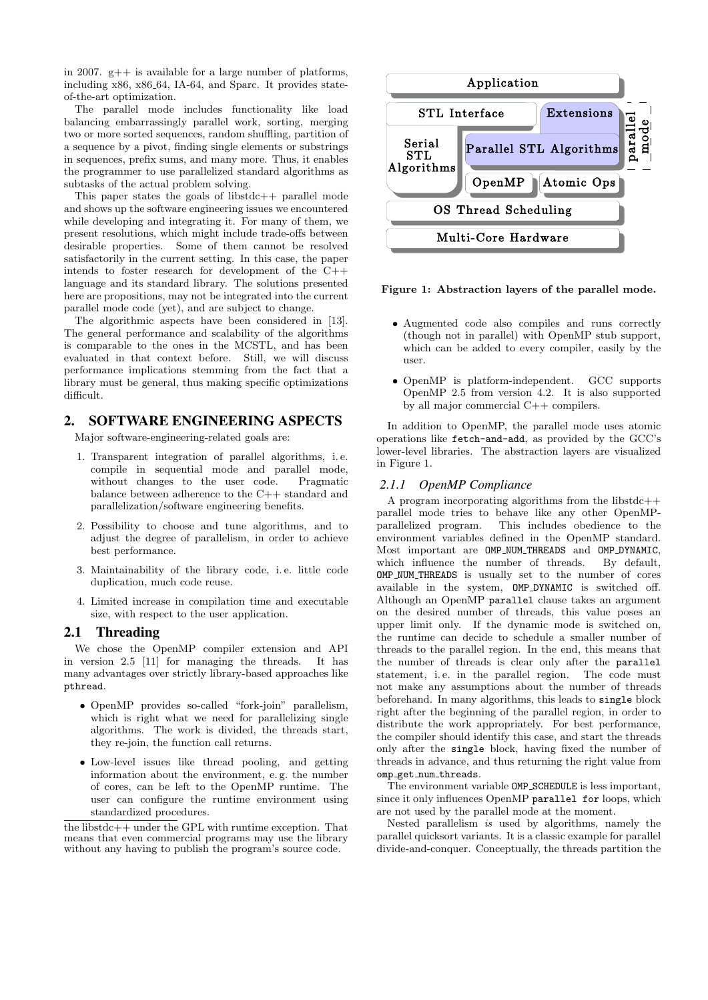in 2007. g++ is available for a large number of platforms, including x86, x86 64, IA-64, and Sparc. It provides stateof-the-art optimization.

The parallel mode includes functionality like load balancing embarrassingly parallel work, sorting, merging two or more sorted sequences, random shuffling, partition of a sequence by a pivot, finding single elements or substrings in sequences, prefix sums, and many more. Thus, it enables the programmer to use parallelized standard algorithms as subtasks of the actual problem solving.

This paper states the goals of libst $dc++$  parallel mode and shows up the software engineering issues we encountered while developing and integrating it. For many of them, we present resolutions, which might include trade-offs between desirable properties. Some of them cannot be resolved satisfactorily in the current setting. In this case, the paper intends to foster research for development of the C++ language and its standard library. The solutions presented here are propositions, may not be integrated into the current parallel mode code (yet), and are subject to change.

The algorithmic aspects have been considered in [13]. The general performance and scalability of the algorithms is comparable to the ones in the MCSTL, and has been evaluated in that context before. Still, we will discuss performance implications stemming from the fact that a library must be general, thus making specific optimizations difficult.

## 2. SOFTWARE ENGINEERING ASPECTS

Major software-engineering-related goals are:

- 1. Transparent integration of parallel algorithms, i. e. compile in sequential mode and parallel mode, without changes to the user code. Pragmatic balance between adherence to the C++ standard and parallelization/software engineering benefits.
- 2. Possibility to choose and tune algorithms, and to adjust the degree of parallelism, in order to achieve best performance.
- 3. Maintainability of the library code, i. e. little code duplication, much code reuse.
- 4. Limited increase in compilation time and executable size, with respect to the user application.

## 2.1 Threading

We chose the OpenMP compiler extension and API in version 2.5 [11] for managing the threads. It has many advantages over strictly library-based approaches like pthread.

- OpenMP provides so-called "fork-join" parallelism, which is right what we need for parallelizing single algorithms. The work is divided, the threads start, they re-join, the function call returns.
- Low-level issues like thread pooling, and getting information about the environment, e. g. the number of cores, can be left to the OpenMP runtime. The user can configure the runtime environment using standardized procedures.



Figure 1: Abstraction layers of the parallel mode.

- Augmented code also compiles and runs correctly (though not in parallel) with OpenMP stub support, which can be added to every compiler, easily by the user.
- OpenMP is platform-independent. GCC supports OpenMP 2.5 from version 4.2. It is also supported by all major commercial C++ compilers.

In addition to OpenMP, the parallel mode uses atomic operations like fetch-and-add, as provided by the GCC's lower-level libraries. The abstraction layers are visualized in Figure 1.

#### *2.1.1 OpenMP Compliance*

A program incorporating algorithms from the libstdc++ parallel mode tries to behave like any other OpenMPparallelized program. This includes obedience to the environment variables defined in the OpenMP standard. Most important are OMP NUM THREADS and OMP DYNAMIC, which influence the number of threads. By default, OMP NUM THREADS is usually set to the number of cores available in the system, OMP DYNAMIC is switched off. Although an OpenMP parallel clause takes an argument on the desired number of threads, this value poses an upper limit only. If the dynamic mode is switched on, the runtime can decide to schedule a smaller number of threads to the parallel region. In the end, this means that the number of threads is clear only after the parallel statement, i.e. in the parallel region. The code must not make any assumptions about the number of threads beforehand. In many algorithms, this leads to single block right after the beginning of the parallel region, in order to distribute the work appropriately. For best performance, the compiler should identify this case, and start the threads only after the single block, having fixed the number of threads in advance, and thus returning the right value from omp get num threads.

The environment variable OMP SCHEDULE is less important, since it only influences OpenMP parallel for loops, which are not used by the parallel mode at the moment.

Nested parallelism is used by algorithms, namely the parallel quicksort variants. It is a classic example for parallel divide-and-conquer. Conceptually, the threads partition the

the libstdc $++$  under the GPL with runtime exception. That means that even commercial programs may use the library without any having to publish the program's source code.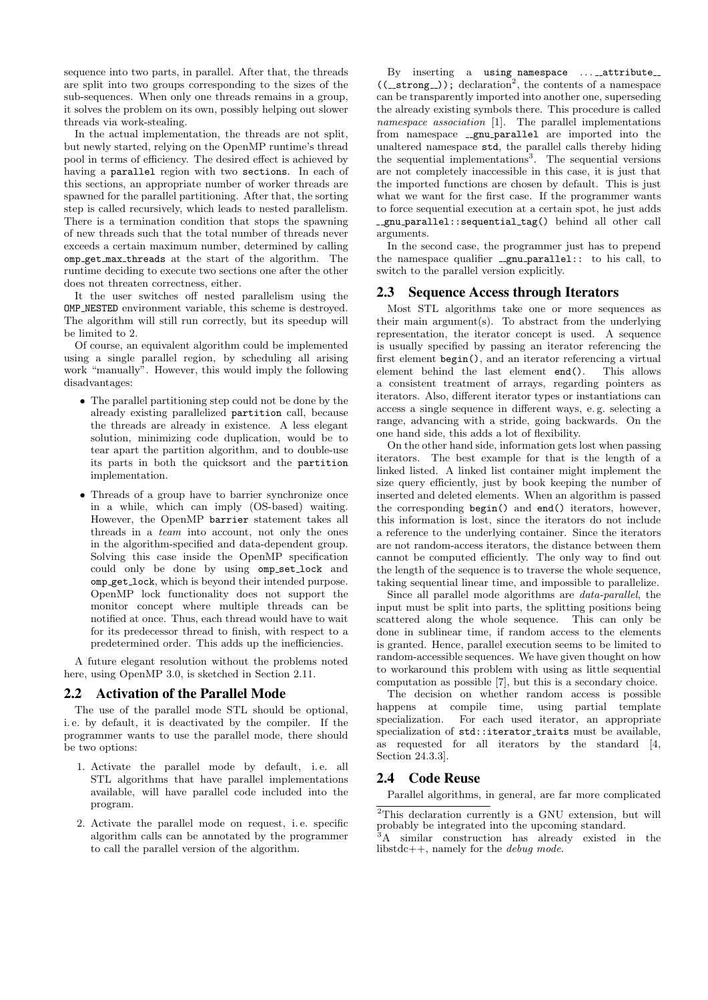sequence into two parts, in parallel. After that, the threads are split into two groups corresponding to the sizes of the sub-sequences. When only one threads remains in a group, it solves the problem on its own, possibly helping out slower threads via work-stealing.

In the actual implementation, the threads are not split, but newly started, relying on the OpenMP runtime's thread pool in terms of efficiency. The desired effect is achieved by having a parallel region with two sections. In each of this sections, an appropriate number of worker threads are spawned for the parallel partitioning. After that, the sorting step is called recursively, which leads to nested parallelism. There is a termination condition that stops the spawning of new threads such that the total number of threads never exceeds a certain maximum number, determined by calling omp get max threads at the start of the algorithm. The runtime deciding to execute two sections one after the other does not threaten correctness, either.

It the user switches off nested parallelism using the OMP NESTED environment variable, this scheme is destroyed. The algorithm will still run correctly, but its speedup will be limited to 2.

Of course, an equivalent algorithm could be implemented using a single parallel region, by scheduling all arising work "manually". However, this would imply the following disadvantages:

- The parallel partitioning step could not be done by the already existing parallelized partition call, because the threads are already in existence. A less elegant solution, minimizing code duplication, would be to tear apart the partition algorithm, and to double-use its parts in both the quicksort and the partition implementation.
- Threads of a group have to barrier synchronize once in a while, which can imply (OS-based) waiting. However, the OpenMP barrier statement takes all threads in a team into account, not only the ones in the algorithm-specified and data-dependent group. Solving this case inside the OpenMP specification could only be done by using omp set lock and omp get lock, which is beyond their intended purpose. OpenMP lock functionality does not support the monitor concept where multiple threads can be notified at once. Thus, each thread would have to wait for its predecessor thread to finish, with respect to a predetermined order. This adds up the inefficiencies.

A future elegant resolution without the problems noted here, using OpenMP 3.0, is sketched in Section 2.11.

#### 2.2 Activation of the Parallel Mode

The use of the parallel mode STL should be optional, i. e. by default, it is deactivated by the compiler. If the programmer wants to use the parallel mode, there should be two options:

- 1. Activate the parallel mode by default, i. e. all STL algorithms that have parallel implementations available, will have parallel code included into the program.
- 2. Activate the parallel mode on request, i. e. specific algorithm calls can be annotated by the programmer to call the parallel version of the algorithm.

By inserting a using namespace ...\_attribute\_  $((\text{__strong}_{-}))$ ; declaration<sup>2</sup>, the contents of a namespace can be transparently imported into another one, superseding the already existing symbols there. This procedure is called namespace association [1]. The parallel implementations from namespace \_\_gnu\_parallel are imported into the unaltered namespace std, the parallel calls thereby hiding the sequential implementations<sup>3</sup>. The sequential versions are not completely inaccessible in this case, it is just that the imported functions are chosen by default. This is just what we want for the first case. If the programmer wants to force sequential execution at a certain spot, he just adds \_gnu\_parallel::sequential\_tag() behind all other call arguments.

In the second case, the programmer just has to prepend the namespace qualifier  $\Box$ gnu parallel:: to his call, to switch to the parallel version explicitly.

## 2.3 Sequence Access through Iterators

Most STL algorithms take one or more sequences as their main argument(s). To abstract from the underlying representation, the iterator concept is used. A sequence is usually specified by passing an iterator referencing the first element begin(), and an iterator referencing a virtual element behind the last element end(). This allows a consistent treatment of arrays, regarding pointers as iterators. Also, different iterator types or instantiations can access a single sequence in different ways, e. g. selecting a range, advancing with a stride, going backwards. On the one hand side, this adds a lot of flexibility.

On the other hand side, information gets lost when passing iterators. The best example for that is the length of a linked listed. A linked list container might implement the size query efficiently, just by book keeping the number of inserted and deleted elements. When an algorithm is passed the corresponding begin() and end() iterators, however, this information is lost, since the iterators do not include a reference to the underlying container. Since the iterators are not random-access iterators, the distance between them cannot be computed efficiently. The only way to find out the length of the sequence is to traverse the whole sequence, taking sequential linear time, and impossible to parallelize.

Since all parallel mode algorithms are data-parallel, the input must be split into parts, the splitting positions being scattered along the whole sequence. This can only be done in sublinear time, if random access to the elements is granted. Hence, parallel execution seems to be limited to random-accessible sequences. We have given thought on how to workaround this problem with using as little sequential computation as possible [7], but this is a secondary choice.

The decision on whether random access is possible happens at compile time, using partial template specialization. For each used iterator, an appropriate specialization of std::iterator\_traits must be available, as requested for all iterators by the standard [4, Section 24.3.3].

## 2.4 Code Reuse

Parallel algorithms, in general, are far more complicated

<sup>&</sup>lt;sup>2</sup>This declaration currently is a GNU extension, but will probably be integrated into the upcoming standard.

<sup>&</sup>lt;sup>3</sup>A similar construction has already existed in the libstdc++, namely for the debug mode.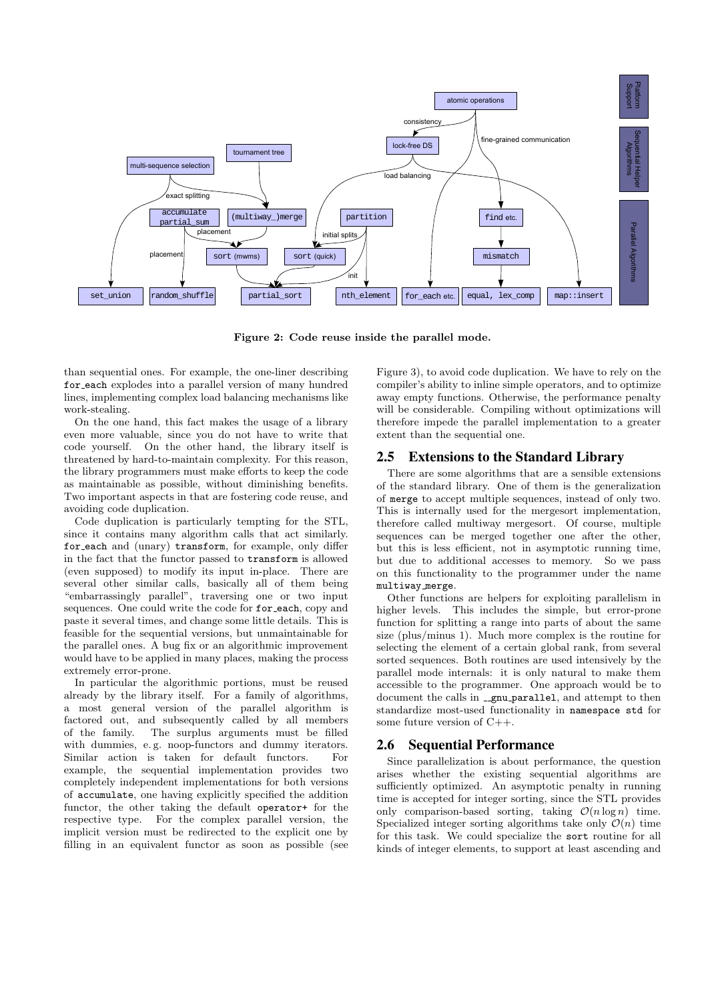

Figure 2: Code reuse inside the parallel mode.

than sequential ones. For example, the one-liner describing for each explodes into a parallel version of many hundred lines, implementing complex load balancing mechanisms like work-stealing.

On the one hand, this fact makes the usage of a library even more valuable, since you do not have to write that code yourself. On the other hand, the library itself is threatened by hard-to-maintain complexity. For this reason, the library programmers must make efforts to keep the code as maintainable as possible, without diminishing benefits. Two important aspects in that are fostering code reuse, and avoiding code duplication.

Code duplication is particularly tempting for the STL, since it contains many algorithm calls that act similarly. for each and (unary) transform, for example, only differ in the fact that the functor passed to transform is allowed (even supposed) to modify its input in-place. There are several other similar calls, basically all of them being "embarrassingly parallel", traversing one or two input sequences. One could write the code for for\_each, copy and paste it several times, and change some little details. This is feasible for the sequential versions, but unmaintainable for the parallel ones. A bug fix or an algorithmic improvement would have to be applied in many places, making the process extremely error-prone.

In particular the algorithmic portions, must be reused already by the library itself. For a family of algorithms, a most general version of the parallel algorithm is factored out, and subsequently called by all members of the family. The surplus arguments must be filled with dummies, e.g. noop-functors and dummy iterators. Similar action is taken for default functors. For example, the sequential implementation provides two completely independent implementations for both versions of accumulate, one having explicitly specified the addition functor, the other taking the default operator+ for the respective type. For the complex parallel version, the implicit version must be redirected to the explicit one by filling in an equivalent functor as soon as possible (see

Figure 3), to avoid code duplication. We have to rely on the compiler's ability to inline simple operators, and to optimize away empty functions. Otherwise, the performance penalty will be considerable. Compiling without optimizations will therefore impede the parallel implementation to a greater extent than the sequential one.

## 2.5 Extensions to the Standard Library

There are some algorithms that are a sensible extensions of the standard library. One of them is the generalization of merge to accept multiple sequences, instead of only two. This is internally used for the mergesort implementation, therefore called multiway mergesort. Of course, multiple sequences can be merged together one after the other, but this is less efficient, not in asymptotic running time, but due to additional accesses to memory. So we pass on this functionality to the programmer under the name multiway merge.

Other functions are helpers for exploiting parallelism in higher levels. This includes the simple, but error-prone function for splitting a range into parts of about the same size (plus/minus 1). Much more complex is the routine for selecting the element of a certain global rank, from several sorted sequences. Both routines are used intensively by the parallel mode internals: it is only natural to make them accessible to the programmer. One approach would be to document the calls in **gnu** parallel, and attempt to then standardize most-used functionality in namespace std for some future version of  $C++$ .

## 2.6 Sequential Performance

Since parallelization is about performance, the question arises whether the existing sequential algorithms are sufficiently optimized. An asymptotic penalty in running time is accepted for integer sorting, since the STL provides only comparison-based sorting, taking  $\mathcal{O}(n \log n)$  time. Specialized integer sorting algorithms take only  $\mathcal{O}(n)$  time for this task. We could specialize the sort routine for all kinds of integer elements, to support at least ascending and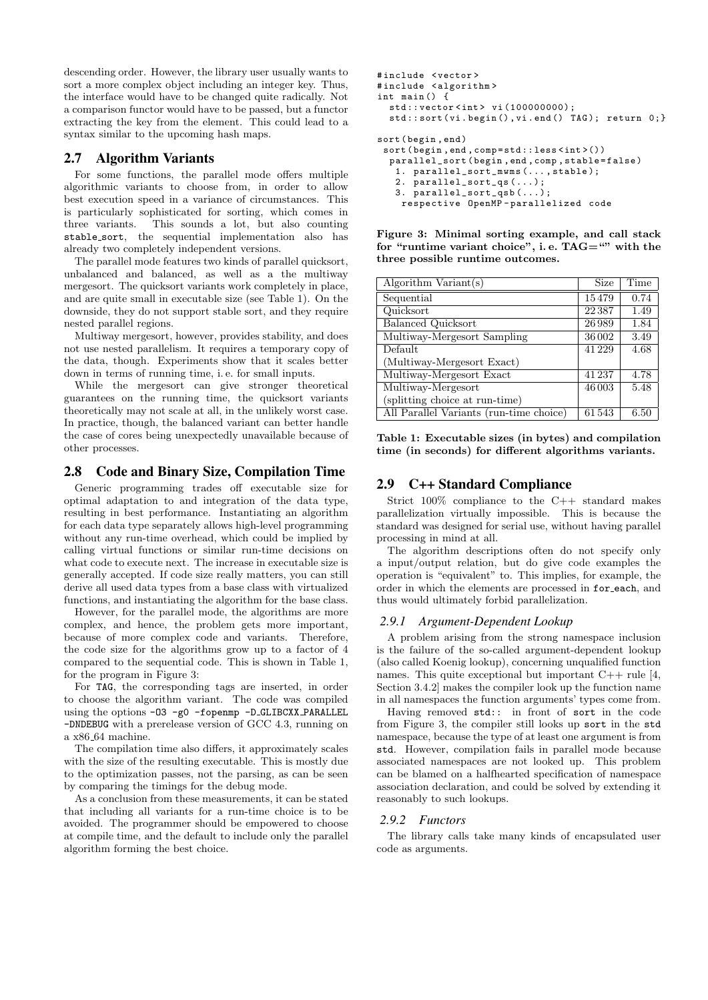descending order. However, the library user usually wants to sort a more complex object including an integer key. Thus, the interface would have to be changed quite radically. Not a comparison functor would have to be passed, but a functor extracting the key from the element. This could lead to a syntax similar to the upcoming hash maps.

## 2.7 Algorithm Variants

For some functions, the parallel mode offers multiple algorithmic variants to choose from, in order to allow best execution speed in a variance of circumstances. This is particularly sophisticated for sorting, which comes in three variants. This sounds a lot, but also counting stable sort, the sequential implementation also has already two completely independent versions.

The parallel mode features two kinds of parallel quicksort, unbalanced and balanced, as well as a the multiway mergesort. The quicksort variants work completely in place, and are quite small in executable size (see Table 1). On the downside, they do not support stable sort, and they require nested parallel regions.

Multiway mergesort, however, provides stability, and does not use nested parallelism. It requires a temporary copy of the data, though. Experiments show that it scales better down in terms of running time, i. e. for small inputs.

While the mergesort can give stronger theoretical guarantees on the running time, the quicksort variants theoretically may not scale at all, in the unlikely worst case. In practice, though, the balanced variant can better handle the case of cores being unexpectedly unavailable because of other processes.

#### 2.8 Code and Binary Size, Compilation Time

Generic programming trades off executable size for optimal adaptation to and integration of the data type, resulting in best performance. Instantiating an algorithm for each data type separately allows high-level programming without any run-time overhead, which could be implied by calling virtual functions or similar run-time decisions on what code to execute next. The increase in executable size is generally accepted. If code size really matters, you can still derive all used data types from a base class with virtualized functions, and instantiating the algorithm for the base class.

However, for the parallel mode, the algorithms are more complex, and hence, the problem gets more important, because of more complex code and variants. Therefore, the code size for the algorithms grow up to a factor of 4 compared to the sequential code. This is shown in Table 1, for the program in Figure 3:

For TAG, the corresponding tags are inserted, in order to choose the algorithm variant. The code was compiled using the options -O3 -g0 -fopenmp -D GLIBCXX PARALLEL -DNDEBUG with a prerelease version of GCC 4.3, running on a x86 64 machine.

The compilation time also differs, it approximately scales with the size of the resulting executable. This is mostly due to the optimization passes, not the parsing, as can be seen by comparing the timings for the debug mode.

As a conclusion from these measurements, it can be stated that including all variants for a run-time choice is to be avoided. The programmer should be empowered to choose at compile time, and the default to include only the parallel algorithm forming the best choice.

```
# include < vector >
# include < algorithm >
int main () {
  std:: vector <int> vi (100000000);
  std::sort(vi.begin(), vi.end() TAG); return 0;}
sort ( begin , end )
 sort ( begin{bmatrix} begin, end, comp = std::less <i>int</i>>())parallel_sort ( begin , end , comp , stable = false )
   1. parallel_sort_mwms (... , stable );
   2. parallel_sort_qs (...);
   3. parallel_sort_qsb (...);
    respective OpenMP - parallelized code
```
Figure 3: Minimal sorting example, and call stack for "runtime variant choice", i. e. TAG="" with the three possible runtime outcomes.

| $Algorithm \; Variant(s)$               | Size     | Time |
|-----------------------------------------|----------|------|
| Sequential                              | 15479    | 0.74 |
| Quicksort                               | 22387    | 1.49 |
| <b>Balanced Quicksort</b>               | 26989    | 1.84 |
| Multiway-Mergesort Sampling             | 36 002   | 3.49 |
| Default                                 | 41 2 2 9 | 4.68 |
| (Multiway-Mergesort Exact)              |          |      |
| Multiway-Mergesort Exact                | 41 237   | 4.78 |
| Multiway-Mergesort                      | 46 003   | 5.48 |
| (splitting choice at run-time)          |          |      |
| All Parallel Variants (run-time choice) | 61543    | 6.50 |

Table 1: Executable sizes (in bytes) and compilation time (in seconds) for different algorithms variants.

## 2.9 C++ Standard Compliance

Strict 100% compliance to the C++ standard makes parallelization virtually impossible. This is because the standard was designed for serial use, without having parallel processing in mind at all.

The algorithm descriptions often do not specify only a input/output relation, but do give code examples the operation is "equivalent" to. This implies, for example, the order in which the elements are processed in for each, and thus would ultimately forbid parallelization.

#### *2.9.1 Argument-Dependent Lookup*

A problem arising from the strong namespace inclusion is the failure of the so-called argument-dependent lookup (also called Koenig lookup), concerning unqualified function names. This quite exceptional but important  $C++$  rule [4, Section 3.4.2] makes the compiler look up the function name in all namespaces the function arguments' types come from.

Having removed std:: in front of sort in the code from Figure 3, the compiler still looks up sort in the std namespace, because the type of at least one argument is from std. However, compilation fails in parallel mode because associated namespaces are not looked up. This problem can be blamed on a halfhearted specification of namespace association declaration, and could be solved by extending it reasonably to such lookups.

#### *2.9.2 Functors*

The library calls take many kinds of encapsulated user code as arguments.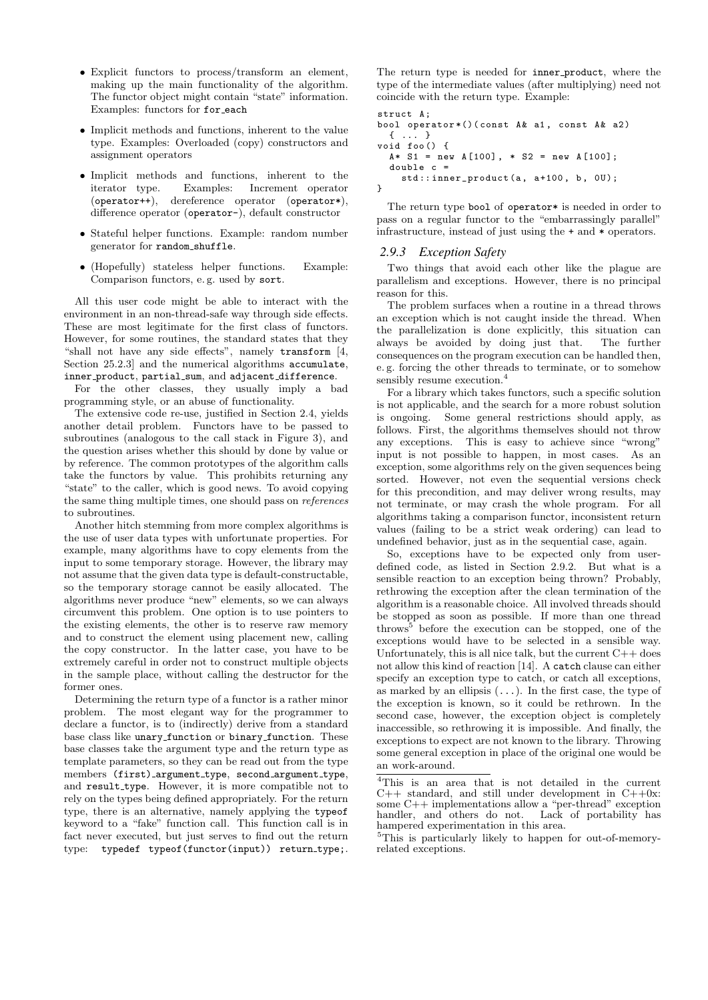- Explicit functors to process/transform an element, making up the main functionality of the algorithm. The functor object might contain "state" information. Examples: functors for for each
- Implicit methods and functions, inherent to the value type. Examples: Overloaded (copy) constructors and assignment operators
- Implicit methods and functions, inherent to the iterator type. Examples: Increment operator (operator++), dereference operator (operator\*), difference operator (operator-), default constructor
- Stateful helper functions. Example: random number generator for random shuffle.
- (Hopefully) stateless helper functions. Example: Comparison functors, e. g. used by sort.

All this user code might be able to interact with the environment in an non-thread-safe way through side effects. These are most legitimate for the first class of functors. However, for some routines, the standard states that they "shall not have any side effects", namely transform [4, Section 25.2.3] and the numerical algorithms accumulate, inner\_product, partial\_sum, and adjacent\_difference.

For the other classes, they usually imply a bad programming style, or an abuse of functionality.

The extensive code re-use, justified in Section 2.4, yields another detail problem. Functors have to be passed to subroutines (analogous to the call stack in Figure 3), and the question arises whether this should by done by value or by reference. The common prototypes of the algorithm calls take the functors by value. This prohibits returning any "state" to the caller, which is good news. To avoid copying the same thing multiple times, one should pass on references to subroutines.

Another hitch stemming from more complex algorithms is the use of user data types with unfortunate properties. For example, many algorithms have to copy elements from the input to some temporary storage. However, the library may not assume that the given data type is default-constructable, so the temporary storage cannot be easily allocated. The algorithms never produce "new" elements, so we can always circumvent this problem. One option is to use pointers to the existing elements, the other is to reserve raw memory and to construct the element using placement new, calling the copy constructor. In the latter case, you have to be extremely careful in order not to construct multiple objects in the sample place, without calling the destructor for the former ones.

Determining the return type of a functor is a rather minor problem. The most elegant way for the programmer to declare a functor, is to (indirectly) derive from a standard base class like unary function or binary function. These base classes take the argument type and the return type as template parameters, so they can be read out from the type members (first)\_argument\_type, second\_argument\_type, and result type. However, it is more compatible not to rely on the types being defined appropriately. For the return type, there is an alternative, namely applying the typeof keyword to a "fake" function call. This function call is in fact never executed, but just serves to find out the return type: typedef typeof(functor(input)) return\_type;.

The return type is needed for inner product, where the type of the intermediate values (after multiplying) need not coincide with the return type. Example:

```
struct A;
bool operator*()(const A& a1, const A& a2)
  { ... }
void foo () {
  A* S1 = new A [100], * S2 = new A [100];
  double c =
    std::inner\_product(a, a+100, b, 0U);\mathbf{r}
```
The return type bool of operator\* is needed in order to pass on a regular functor to the "embarrassingly parallel" infrastructure, instead of just using the + and \* operators.

#### *2.9.3 Exception Safety*

Two things that avoid each other like the plague are parallelism and exceptions. However, there is no principal reason for this.

The problem surfaces when a routine in a thread throws an exception which is not caught inside the thread. When the parallelization is done explicitly, this situation can always be avoided by doing just that. The further consequences on the program execution can be handled then, e. g. forcing the other threads to terminate, or to somehow sensibly resume execution.<sup>4</sup>

For a library which takes functors, such a specific solution is not applicable, and the search for a more robust solution is ongoing. Some general restrictions should apply, as follows. First, the algorithms themselves should not throw any exceptions. This is easy to achieve since "wrong" input is not possible to happen, in most cases. As an exception, some algorithms rely on the given sequences being sorted. However, not even the sequential versions check for this precondition, and may deliver wrong results, may not terminate, or may crash the whole program. For all algorithms taking a comparison functor, inconsistent return values (failing to be a strict weak ordering) can lead to undefined behavior, just as in the sequential case, again.

So, exceptions have to be expected only from userdefined code, as listed in Section 2.9.2. But what is a sensible reaction to an exception being thrown? Probably, rethrowing the exception after the clean termination of the algorithm is a reasonable choice. All involved threads should be stopped as soon as possible. If more than one thread throws<sup>5</sup> before the execution can be stopped, one of the exceptions would have to be selected in a sensible way. Unfortunately, this is all nice talk, but the current  $C++$  does not allow this kind of reaction [14]. A catch clause can either specify an exception type to catch, or catch all exceptions, as marked by an ellipsis  $(\ldots)$ . In the first case, the type of the exception is known, so it could be rethrown. In the second case, however, the exception object is completely inaccessible, so rethrowing it is impossible. And finally, the exceptions to expect are not known to the library. Throwing some general exception in place of the original one would be an work-around.

<sup>4</sup>This is an area that is not detailed in the current  $C++$  standard, and still under development in  $C++0x$ : some C++ implementations allow a "per-thread" exception handler, and others do not. Lack of portability has hampered experimentation in this area.

<sup>5</sup>This is particularly likely to happen for out-of-memoryrelated exceptions.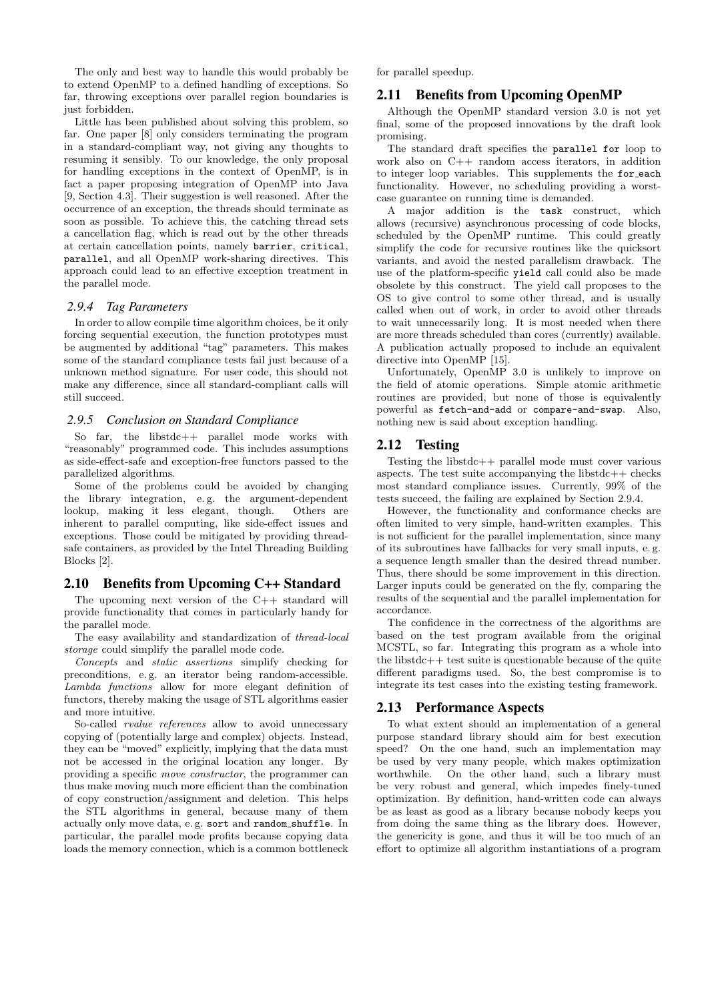The only and best way to handle this would probably be to extend OpenMP to a defined handling of exceptions. So far, throwing exceptions over parallel region boundaries is just forbidden.

Little has been published about solving this problem, so far. One paper [8] only considers terminating the program in a standard-compliant way, not giving any thoughts to resuming it sensibly. To our knowledge, the only proposal for handling exceptions in the context of OpenMP, is in fact a paper proposing integration of OpenMP into Java [9, Section 4.3]. Their suggestion is well reasoned. After the occurrence of an exception, the threads should terminate as soon as possible. To achieve this, the catching thread sets a cancellation flag, which is read out by the other threads at certain cancellation points, namely barrier, critical, parallel, and all OpenMP work-sharing directives. This approach could lead to an effective exception treatment in the parallel mode.

## *2.9.4 Tag Parameters*

In order to allow compile time algorithm choices, be it only forcing sequential execution, the function prototypes must be augmented by additional "tag" parameters. This makes some of the standard compliance tests fail just because of a unknown method signature. For user code, this should not make any difference, since all standard-compliant calls will still succeed.

#### *2.9.5 Conclusion on Standard Compliance*

So far, the libstdc++ parallel mode works with "reasonably" programmed code. This includes assumptions as side-effect-safe and exception-free functors passed to the parallelized algorithms.

Some of the problems could be avoided by changing the library integration, e. g. the argument-dependent lookup, making it less elegant, though. Others are inherent to parallel computing, like side-effect issues and exceptions. Those could be mitigated by providing threadsafe containers, as provided by the Intel Threading Building Blocks [2].

#### 2.10 Benefits from Upcoming C++ Standard

The upcoming next version of the C++ standard will provide functionality that comes in particularly handy for the parallel mode.

The easy availability and standardization of thread-local storage could simplify the parallel mode code.

Concepts and static assertions simplify checking for preconditions, e. g. an iterator being random-accessible. Lambda functions allow for more elegant definition of functors, thereby making the usage of STL algorithms easier and more intuitive.

So-called *rualue references* allow to avoid unnecessary copying of (potentially large and complex) objects. Instead, they can be "moved" explicitly, implying that the data must not be accessed in the original location any longer. By providing a specific move constructor, the programmer can thus make moving much more efficient than the combination of copy construction/assignment and deletion. This helps the STL algorithms in general, because many of them actually only move data, e. g. sort and random shuffle. In particular, the parallel mode profits because copying data loads the memory connection, which is a common bottleneck

for parallel speedup.

## 2.11 Benefits from Upcoming OpenMP

Although the OpenMP standard version 3.0 is not yet final, some of the proposed innovations by the draft look promising.

The standard draft specifies the parallel for loop to work also on C++ random access iterators, in addition to integer loop variables. This supplements the for\_each functionality. However, no scheduling providing a worstcase guarantee on running time is demanded.

A major addition is the task construct, which allows (recursive) asynchronous processing of code blocks, scheduled by the OpenMP runtime. This could greatly simplify the code for recursive routines like the quicksort variants, and avoid the nested parallelism drawback. The use of the platform-specific yield call could also be made obsolete by this construct. The yield call proposes to the OS to give control to some other thread, and is usually called when out of work, in order to avoid other threads to wait unnecessarily long. It is most needed when there are more threads scheduled than cores (currently) available. A publication actually proposed to include an equivalent directive into OpenMP [15].

Unfortunately, OpenMP 3.0 is unlikely to improve on the field of atomic operations. Simple atomic arithmetic routines are provided, but none of those is equivalently powerful as fetch-and-add or compare-and-swap. Also, nothing new is said about exception handling.

# 2.12 Testing

Testing the libstdc++ parallel mode must cover various aspects. The test suite accompanying the libstdc++ checks most standard compliance issues. Currently, 99% of the tests succeed, the failing are explained by Section 2.9.4.

However, the functionality and conformance checks are often limited to very simple, hand-written examples. This is not sufficient for the parallel implementation, since many of its subroutines have fallbacks for very small inputs, e. g. a sequence length smaller than the desired thread number. Thus, there should be some improvement in this direction. Larger inputs could be generated on the fly, comparing the results of the sequential and the parallel implementation for accordance.

The confidence in the correctness of the algorithms are based on the test program available from the original MCSTL, so far. Integrating this program as a whole into the libst  $dc++$  test suite is questionable because of the quite different paradigms used. So, the best compromise is to integrate its test cases into the existing testing framework.

#### 2.13 Performance Aspects

To what extent should an implementation of a general purpose standard library should aim for best execution speed? On the one hand, such an implementation may be used by very many people, which makes optimization worthwhile. On the other hand, such a library must be very robust and general, which impedes finely-tuned optimization. By definition, hand-written code can always be as least as good as a library because nobody keeps you from doing the same thing as the library does. However, the genericity is gone, and thus it will be too much of an effort to optimize all algorithm instantiations of a program